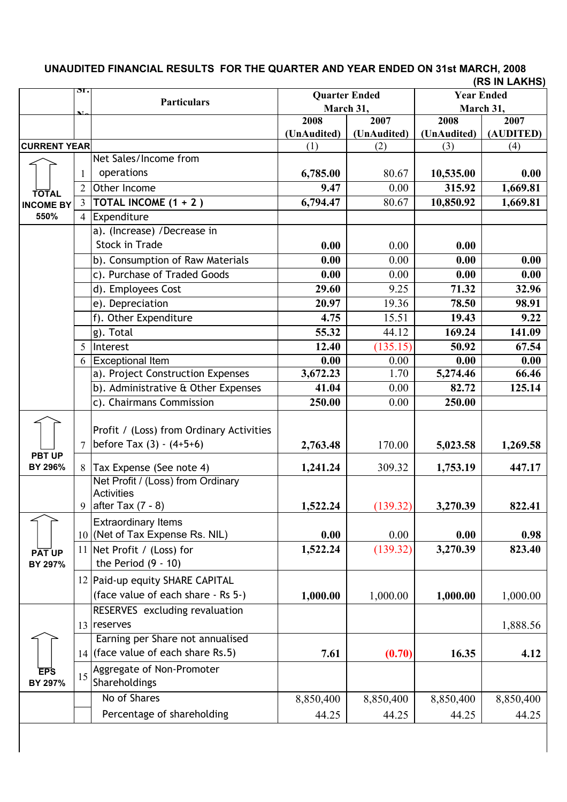## **Sr. o Particulars 2008 (UnAudited) 2007 (UnAudited) 2008 (UnAudited) (AUDITED) 2007 CURRENT YEAR** (1) (2) (3) (4) 1 Net Sales/Income from operations **6,785.00** 80.67 **10,535.00 0.00** 2 Other Income **9.47** 0.00 **315.92 1,669.81** 3 **TOTAL INCOME (1 + 2 ) 6,794.47** 80.67 **10,850.92 1,669.81** 4 Expenditure a). (Increase) /Decrease in **Stock in Trade 0.00 0.00 0.00 0.00 0.00** b). Consumption of Raw Materials **0.00** 0.00 **0.00 0.00** c). Purchase of Traded Goods **0.00** 0.00 **0.00 0.00** d). Employees Cost **29.60** 9.25 **71.32 32.96** e). Depreciation **20.97** 19.36 **78.50 98.91** f). Other Expenditure **4.75** 15.51 **19.43 9.22** g). Total **55.32** 44.12 **169.24 141.09** 5 Interest **12.40** (135.15) **50.92 67.54** 6 Exceptional Item **0.00** 0.00 **0.00 0.00** a). Project Construction Expenses **3,672.23** 1.70 **5,274.46 66.46** b). Administrative & Other Expenses **41.04** 0.00 **82.72 125.14** c). Chairmans Commission **250.00** 0.00 **250.00** 7 Profit / (Loss) from Ordinary Activities **before Tax (3) - (4+5+6) 1,269.58 1,269.58 1,269.58 1,269.58** 8 Tax Expense (See note 4) **1,241.24** 309.32 **1,753.19 447.17** 9 Net Profit / (Loss) from Ordinary **Activities** after Tax (7 - 8) **1,522.24** (139.32) **3,270.39 822.41** 10 (Net of Tax Expense Rs. NIL)  $\begin{array}{ccc} 0.00 & 0.00 & 0.00 \\ 0.00 & 0.00 & 0.00 \end{array}$  0.00 Extraordinary Items 11 **1,522.24** (139.32) **3,270.39 823.40** Net Profit / (Loss) for 12 Paid-up equity SHARE CAPITAL (face value of each share - Rs 5-) **1,000.00** 1,000.00 **1,000.00** 1,000.00 13 reserves RESERVES excluding revaluation reserves  $\vert$  1,888.56 14 (face value of each share Rs.5) **7.61 (0.70) 16.35 4.12** Earning per Share not annualised 15 Aggregate of Non-Promoter Shareholdings No of Shares 198,850,400 8,850,400 8,850,400 8,850,400 8,850,400 Percentage of shareholding  $44.25$   $44.25$   $44.25$   $44.25$   $44.25$ **TOTAL INCOME BY 550% Quarter Ended March 31, Year Ended March 31, PBT UP BY 296% PAT UP BY 297%** the Period (9 - 10) **EPS BY 297%**

## **(RS IN LAKHS) UNAUDITED FINANCIAL RESULTS FOR THE QUARTER AND YEAR ENDED ON 31st MARCH, 2008**